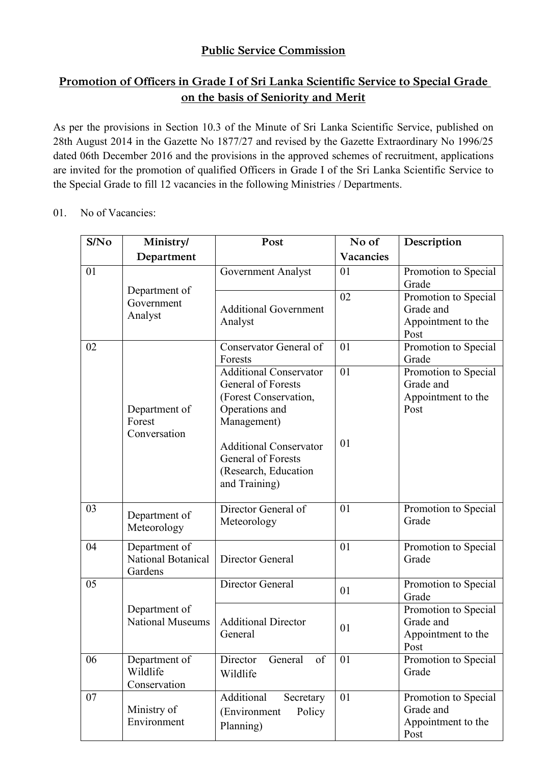# **Public Service Commission**

# **Promotion of Officers in Grade I of Sri Lanka Scientific Service to Special Grade on the basis of Seniority and Merit**

As per the provisions in Section 10.3 of the Minute of Sri Lanka Scientific Service, published on 28th August 2014 in the Gazette No 1877/27 and revised by the Gazette Extraordinary No 1996/25 dated 06th December 2016 and the provisions in the approved schemes of recruitment, applications are invited for the promotion of qualified Officers in Grade I of the Sri Lanka Scientific Service to the Special Grade to fill 12 vacancies in the following Ministries / Departments.

01. No of Vacancies:

| S/No | <b>Ministry/</b>                               | Post                                                                                                          | No of     | Description                                                     |
|------|------------------------------------------------|---------------------------------------------------------------------------------------------------------------|-----------|-----------------------------------------------------------------|
|      | Department                                     |                                                                                                               | Vacancies |                                                                 |
| 01   |                                                | Government Analyst                                                                                            | 01        | Promotion to Special<br>Grade                                   |
|      | Department of<br>Government<br>Analyst         | <b>Additional Government</b><br>Analyst                                                                       | 02        | Promotion to Special<br>Grade and<br>Appointment to the<br>Post |
| 02   |                                                | Conservator General of<br>Forests                                                                             | 01        | Promotion to Special<br>Grade                                   |
|      | Department of<br>Forest<br>Conversation        | <b>Additional Conservator</b><br>General of Forests<br>(Forest Conservation,<br>Operations and<br>Management) | 01        | Promotion to Special<br>Grade and<br>Appointment to the<br>Post |
|      |                                                | <b>Additional Conservator</b><br>General of Forests<br>(Research, Education<br>and Training)                  | 01        |                                                                 |
| 03   | Department of<br>Meteorology                   | Director General of<br>Meteorology                                                                            | 01        | Promotion to Special<br>Grade                                   |
| 04   | Department of<br>National Botanical<br>Gardens | Director General                                                                                              | 01        | Promotion to Special<br>Grade                                   |
| 05   |                                                | Director General                                                                                              | 01        | Promotion to Special<br>Grade                                   |
|      | Department of<br><b>National Museums</b>       | <b>Additional Director</b><br>General                                                                         | 01        | Promotion to Special<br>Grade and<br>Appointment to the<br>Post |
| 06   | Department of<br>Wildlife<br>Conservation      | of<br>Director<br>General<br>Wildlife                                                                         | 01        | Promotion to Special<br>Grade                                   |
| 07   | Ministry of<br>Environment                     | Additional<br>Secretary<br>(Environment<br>Policy<br>Planning)                                                | 01        | Promotion to Special<br>Grade and<br>Appointment to the<br>Post |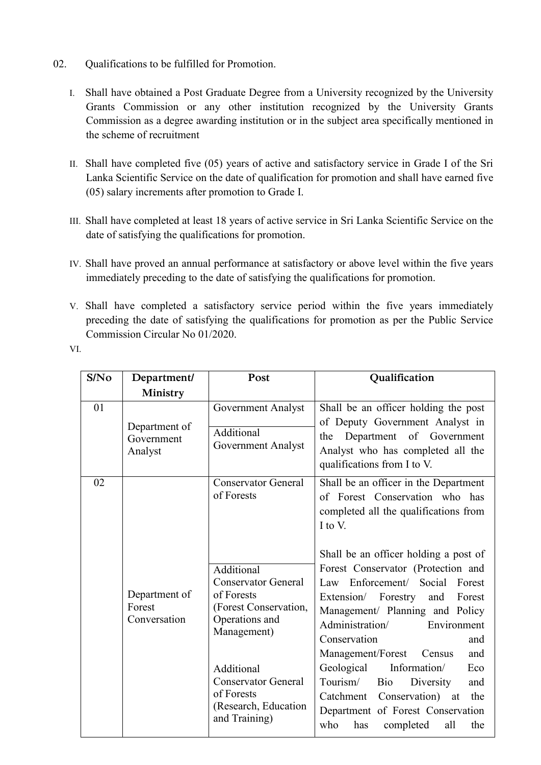- 02. Qualifications to be fulfilled for Promotion.
	- I. Shall have obtained a Post Graduate Degree from a University recognized by the University Grants Commission or any other institution recognized by the University Grants Commission as a degree awarding institution or in the subject area specifically mentioned in the scheme of recruitment
	- II. Shall have completed five (05) years of active and satisfactory service in Grade I of the Sri Lanka Scientific Service on the date of qualification for promotion and shall have earned five (05) salary increments after promotion to Grade I.
	- III. Shall have completed at least 18 years of active service in Sri Lanka Scientific Service on the date of satisfying the qualifications for promotion.
	- IV. Shall have proved an annual performance at satisfactory or above level within the five years immediately preceding to the date of satisfying the qualifications for promotion.
	- V. Shall have completed a satisfactory service period within the five years immediately preceding the date of satisfying the qualifications for promotion as per the Public Service Commission Circular No 01/2020.
	- VI.

| S/No | Department/                             | Post                                                                                            | Qualification                                                                                                                                                                                                                                |
|------|-----------------------------------------|-------------------------------------------------------------------------------------------------|----------------------------------------------------------------------------------------------------------------------------------------------------------------------------------------------------------------------------------------------|
|      | Ministry                                |                                                                                                 |                                                                                                                                                                                                                                              |
| 01   | Department of<br>Government<br>Analyst  | Government Analyst<br>Additional<br>Government Analyst                                          | Shall be an officer holding the post<br>of Deputy Government Analyst in<br>Department of Government<br>the<br>Analyst who has completed all the<br>qualifications from I to V.                                                               |
| 02   |                                         | <b>Conservator General</b><br>of Forests<br>Additional<br><b>Conservator General</b>            | Shall be an officer in the Department<br>of Forest Conservation who has<br>completed all the qualifications from<br>I to V.<br>Shall be an officer holding a post of<br>Forest Conservator (Protection and<br>Law Enforcement/ Social Forest |
|      | Department of<br>Forest<br>Conversation | of Forests<br>(Forest Conservation,<br>Operations and<br>Management)                            | Extension/ Forestry<br>and<br>Forest<br>Management/ Planning and Policy<br>Administration/<br>Environment<br>Conservation<br>and<br>Management/Forest<br>and<br>Census                                                                       |
|      |                                         | Additional<br><b>Conservator General</b><br>of Forests<br>(Research, Education<br>and Training) | Geological<br>Information/<br>Eco<br>Tourism/<br><b>Bio</b><br>Diversity<br>and<br>Catchment Conservation) at<br>the<br>Department of Forest Conservation<br>who<br>has<br>all<br>completed<br>the                                           |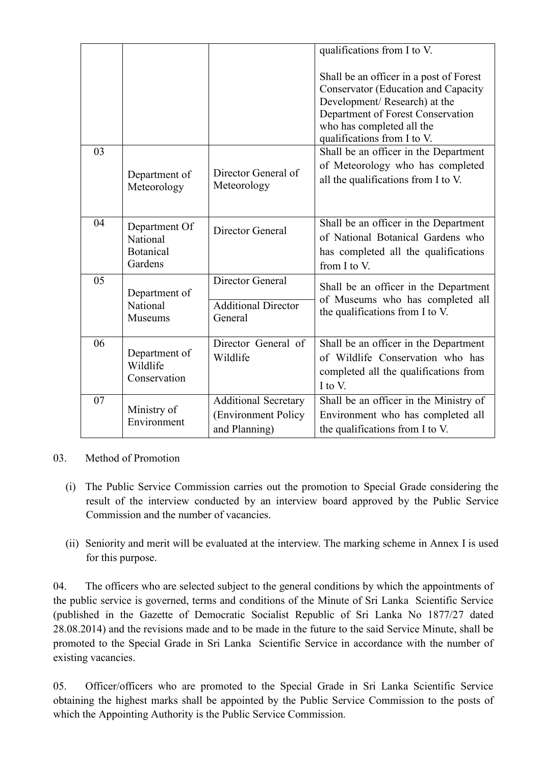|    |                                                          |                                                                      | qualifications from I to V.                                                                                                                                                                                            |
|----|----------------------------------------------------------|----------------------------------------------------------------------|------------------------------------------------------------------------------------------------------------------------------------------------------------------------------------------------------------------------|
|    |                                                          |                                                                      | Shall be an officer in a post of Forest<br><b>Conservator (Education and Capacity</b><br>Development/Research) at the<br>Department of Forest Conservation<br>who has completed all the<br>qualifications from I to V. |
| 03 | Department of<br>Meteorology                             | Director General of<br>Meteorology                                   | Shall be an officer in the Department<br>of Meteorology who has completed<br>all the qualifications from I to V.                                                                                                       |
| 04 | Department Of<br>National<br><b>Botanical</b><br>Gardens | Director General                                                     | Shall be an officer in the Department<br>of National Botanical Gardens who<br>has completed all the qualifications<br>from I to V.                                                                                     |
| 05 | Department of<br>National<br><b>Museums</b>              | Director General<br><b>Additional Director</b><br>General            | Shall be an officer in the Department<br>of Museums who has completed all<br>the qualifications from I to V.                                                                                                           |
| 06 | Department of<br>Wildlife<br>Conservation                | Director General of<br>Wildlife                                      | Shall be an officer in the Department<br>of Wildlife Conservation who has<br>completed all the qualifications from<br>I to V.                                                                                          |
| 07 | Ministry of<br>Environment                               | <b>Additional Secretary</b><br>(Environment Policy)<br>and Planning) | Shall be an officer in the Ministry of<br>Environment who has completed all<br>the qualifications from I to V.                                                                                                         |

### 03. Method of Promotion

- (i) The Public Service Commission carries out the promotion to Special Grade considering the result of the interview conducted by an interview board approved by the Public Service Commission and the number of vacancies.
- (ii) Seniority and merit will be evaluated at the interview. The marking scheme in Annex I is used for this purpose.

04. The officers who are selected subject to the general conditions by which the appointments of the public service is governed, terms and conditions of the Minute of Sri Lanka Scientific Service (published in the Gazette of Democratic Socialist Republic of Sri Lanka No 1877/27 dated 28.08.2014) and the revisions made and to be made in the future to the said Service Minute, shall be promoted to the Special Grade in Sri Lanka Scientific Service in accordance with the number of existing vacancies.

05. Officer/officers who are promoted to the Special Grade in Sri Lanka Scientific Service obtaining the highest marks shall be appointed by the Public Service Commission to the posts of which the Appointing Authority is the Public Service Commission.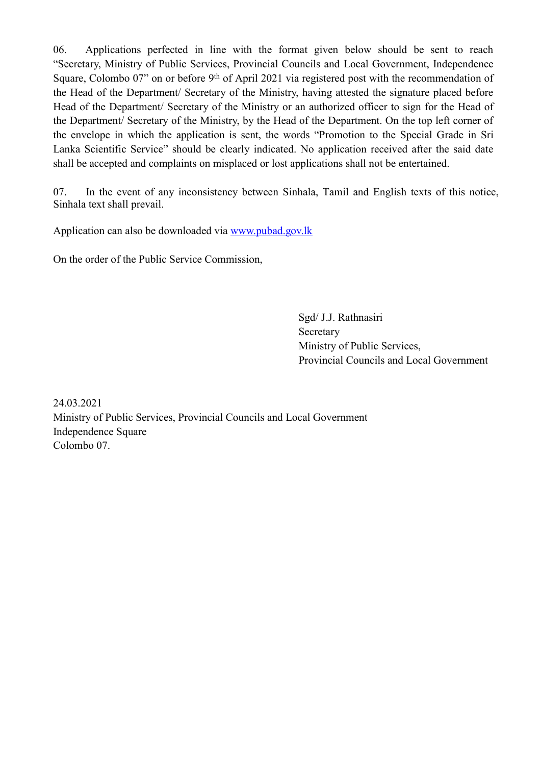06. Applications perfected in line with the format given below should be sent to reach "Secretary, Ministry of Public Services, Provincial Councils and Local Government, Independence Square, Colombo 07" on or before 9<sup>th</sup> of April 2021 via registered post with the recommendation of the Head of the Department/ Secretary of the Ministry, having attested the signature placed before Head of the Department/ Secretary of the Ministry or an authorized officer to sign for the Head of the Department/ Secretary of the Ministry, by the Head of the Department. On the top left corner of the envelope in which the application is sent, the words "Promotion to the Special Grade in Sri Lanka Scientific Service" should be clearly indicated. No application received after the said date shall be accepted and complaints on misplaced or lost applications shall not be entertained.

07. In the event of any inconsistency between Sinhala, Tamil and English texts of this notice, Sinhala text shall prevail.

Application can also be downloaded via [www.pubad.gov.lk](https://www.pubad.gov.lk/)

On the order of the Public Service Commission,

Sgd/ J.J. Rathnasiri Secretary Ministry of Public Services, Provincial Councils and Local Government

24.03.2021 Ministry of Public Services, Provincial Councils and Local Government Independence Square Colombo 07.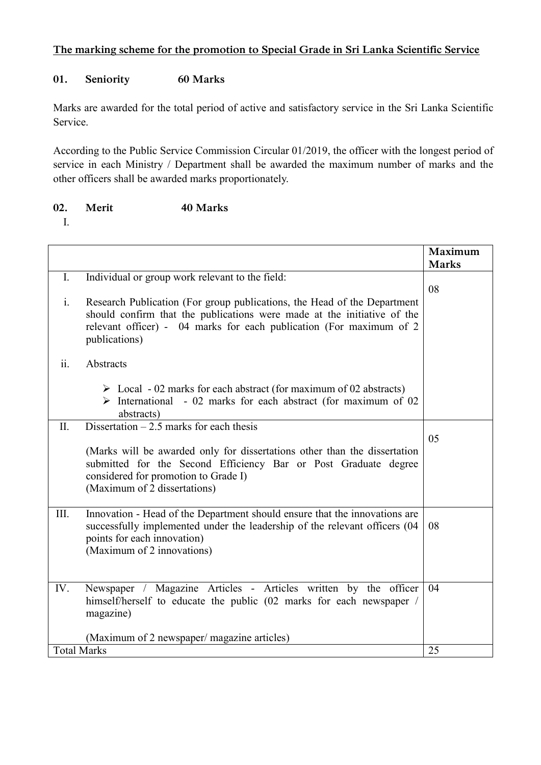## **The marking scheme for the promotion to Special Grade in Sri Lanka Scientific Service**

## **01. Seniority 60 Marks**

Marks are awarded for the total period of active and satisfactory service in the Sri Lanka Scientific Service.

According to the Public Service Commission Circular 01/2019, the officer with the longest period of service in each Ministry / Department shall be awarded the maximum number of marks and the other officers shall be awarded marks proportionately.

| 02.<br>Merit | 40 Marks |
|--------------|----------|
|--------------|----------|

I.

|                                  |                                                                                                                                                                                                                       | Maximum<br><b>Marks</b> |
|----------------------------------|-----------------------------------------------------------------------------------------------------------------------------------------------------------------------------------------------------------------------|-------------------------|
|                                  |                                                                                                                                                                                                                       |                         |
| $\mathbf{I}$ .<br>$\mathbf{i}$ . | Individual or group work relevant to the field:<br>Research Publication (For group publications, the Head of the Department                                                                                           | 08                      |
|                                  | should confirm that the publications were made at the initiative of the<br>relevant officer) - 04 marks for each publication (For maximum of 2<br>publications)                                                       |                         |
| ii.                              | Abstracts                                                                                                                                                                                                             |                         |
|                                  | $\triangleright$ Local - 02 marks for each abstract (for maximum of 02 abstracts)<br>$\triangleright$ International - 02 marks for each abstract (for maximum of 02<br>abstracts)                                     |                         |
| II.                              | Dissertation $-2.5$ marks for each thesis                                                                                                                                                                             | 0 <sub>5</sub>          |
|                                  | (Marks will be awarded only for dissertations other than the dissertation<br>submitted for the Second Efficiency Bar or Post Graduate degree<br>considered for promotion to Grade I)<br>(Maximum of 2 dissertations)  |                         |
| III.                             | Innovation - Head of the Department should ensure that the innovations are<br>successfully implemented under the leadership of the relevant officers (04<br>points for each innovation)<br>(Maximum of 2 innovations) | 08                      |
| IV.                              | Newspaper / Magazine Articles - Articles written by the officer<br>himself/herself to educate the public (02 marks for each newspaper /<br>magazine)                                                                  | 04                      |
|                                  | (Maximum of 2 newspaper/ magazine articles)                                                                                                                                                                           |                         |
| <b>Total Marks</b>               |                                                                                                                                                                                                                       | 25                      |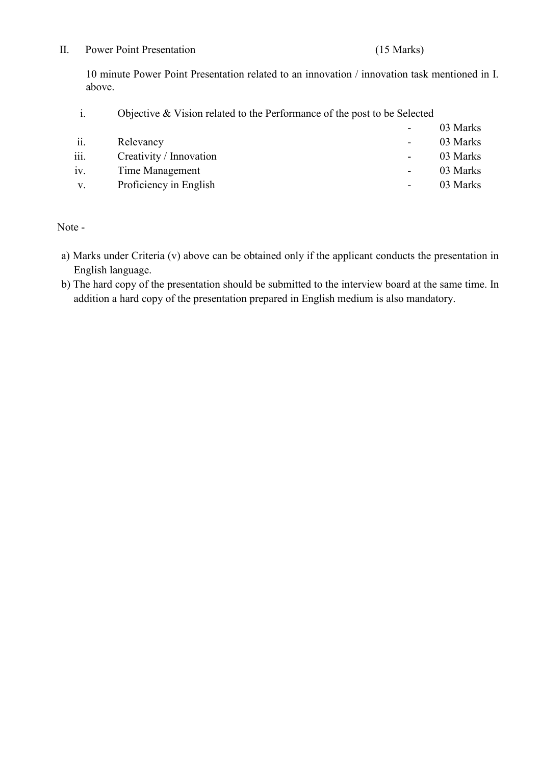#### II. Power Point Presentation (15 Marks)

10 minute Power Point Presentation related to an innovation / innovation task mentioned in I. above.

i. Objective & Vision related to the Performance of the post to be Selected

|             |                         | ۰.                       | 03 Marks |
|-------------|-------------------------|--------------------------|----------|
| ii.         | Relevancy               | $\blacksquare$           | 03 Marks |
| iii.        | Creativity / Innovation | -                        | 03 Marks |
| iv.         | Time Management         | $\overline{\phantom{a}}$ | 03 Marks |
| $V_{\cdot}$ | Proficiency in English  | $\overline{\phantom{a}}$ | 03 Marks |
|             |                         |                          |          |

Note -

- a) Marks under Criteria (v) above can be obtained only if the applicant conducts the presentation in English language.
- b) The hard copy of the presentation should be submitted to the interview board at the same time. In addition a hard copy of the presentation prepared in English medium is also mandatory.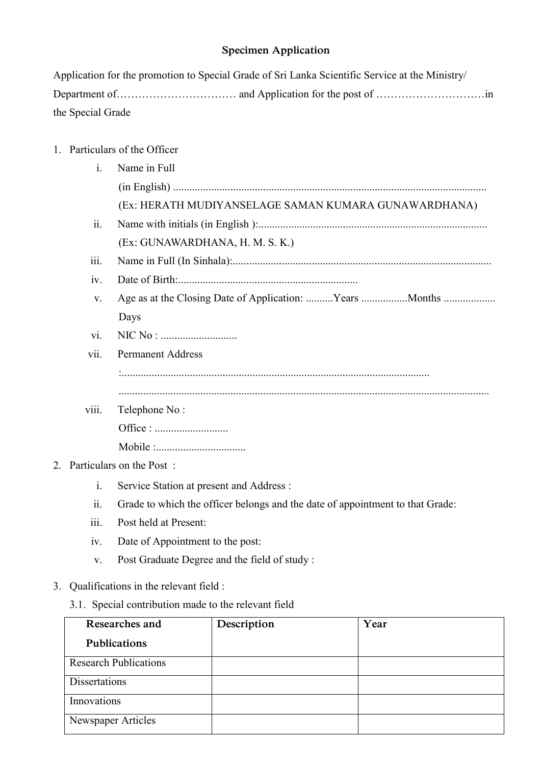## **Specimen Application**

|                   | Application for the promotion to Special Grade of Sri Lanka Scientific Service at the Ministry/ |  |
|-------------------|-------------------------------------------------------------------------------------------------|--|
|                   |                                                                                                 |  |
| the Special Grade |                                                                                                 |  |

## 1. Particulars of the Officer

| $\mathbf{i}$ .             | Name in Full                                                                  |
|----------------------------|-------------------------------------------------------------------------------|
|                            |                                                                               |
|                            | (Ex: HERATH MUDIYANSELAGE SAMAN KUMARA GUNAWARDHANA)                          |
| ii.                        |                                                                               |
|                            | (Ex: GUNAWARDHANA, H. M. S. K.)                                               |
| iii.                       |                                                                               |
| iv.                        |                                                                               |
| V.                         | Age as at the Closing Date of Application: Years Months                       |
|                            | Days                                                                          |
| $\overline{\mathbf{vi}}$ . |                                                                               |
| vii.                       | <b>Permanent Address</b>                                                      |
|                            |                                                                               |
|                            |                                                                               |
| viii.                      | Telephone No:                                                                 |
|                            |                                                                               |
|                            |                                                                               |
|                            | 2. Particulars on the Post:                                                   |
| $\mathbf{i}$ .             | Service Station at present and Address:                                       |
| $\overline{\mathbf{11}}$ . | Grade to which the officer belongs and the date of appointment to that Grade: |
| 111.                       | Post held at Present:                                                         |

- 
- iv. Date of Appointment to the post:
- v. Post Graduate Degree and the field of study :

# 3. Qualifications in the relevant field :

3.1. Special contribution made to the relevant field

| Researches and               | Description | Year |
|------------------------------|-------------|------|
| <b>Publications</b>          |             |      |
| <b>Research Publications</b> |             |      |
| <b>Dissertations</b>         |             |      |
| Innovations                  |             |      |
| Newspaper Articles           |             |      |